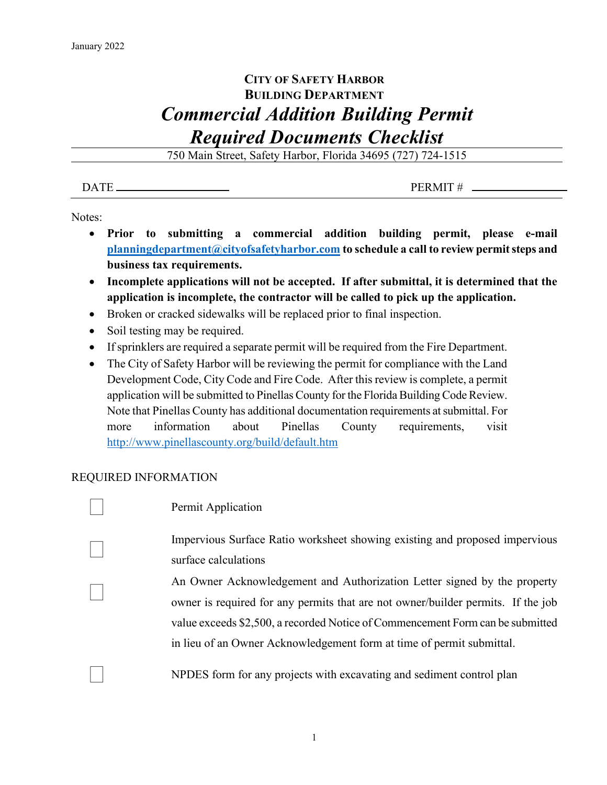# **CITY OF SAFETY HARBOR BUILDING DEPARTMENT** *Commercial Addition Building Permit Required Documents Checklist*

750 Main Street, Safety Harbor, Florida 34695 (727) 724-1515

 $\overline{DATE}$  PERMIT #

Notes:

- **Prior to submitting a commercial addition building permit, please e-mail [planningdepartment@cityofsafetyharbor.com](mailto:planningdepartment@cityofsafetyharbor.com) to schedule a call to review permit steps and business tax requirements.**
- **Incomplete applications will not be accepted. If after submittal, it is determined that the application is incomplete, the contractor will be called to pick up the application.**
- Broken or cracked sidewalks will be replaced prior to final inspection.
- Soil testing may be required.
- If sprinklers are required a separate permit will be required from the Fire Department.
- The City of Safety Harbor will be reviewing the permit for compliance with the Land Development Code, City Code and Fire Code. After this review is complete, a permit application will be submitted to Pinellas County for the Florida Building Code Review. Note that Pinellas County has additional documentation requirements at submittal. For more information about Pinellas County requirements, visit <http://www.pinellascounty.org/build/default.htm>

## REQUIRED INFORMATION

Permit Application

 Impervious Surface Ratio worksheet showing existing and proposed impervious surface calculations

 An Owner Acknowledgement and Authorization Letter signed by the property owner is required for any permits that are not owner/builder permits. If the job value exceeds \$2,500, a recorded Notice of Commencement Form can be submitted in lieu of an Owner Acknowledgement form at time of permit submittal.

NPDES form for any projects with excavating and sediment control plan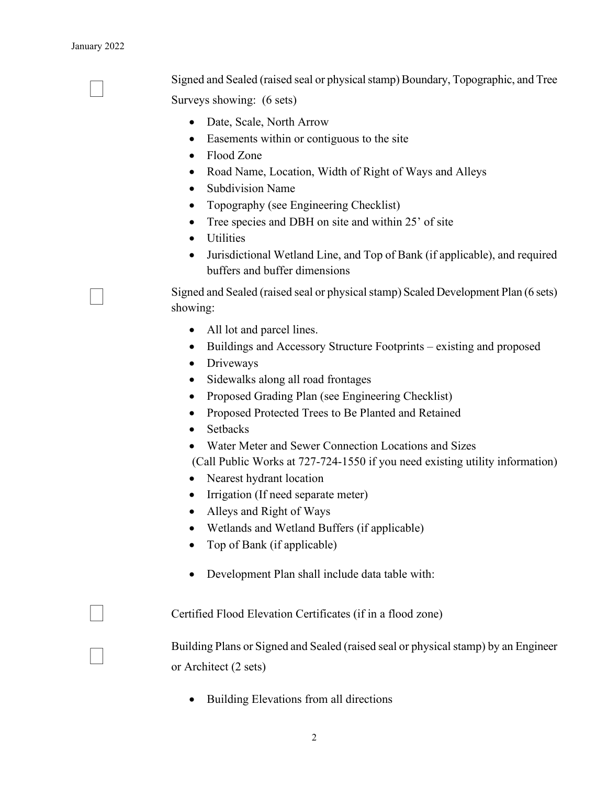#### January 2022

 Signed and Sealed (raised seal or physical stamp) Boundary, Topographic, and Tree Surveys showing: (6 sets)

- Date, Scale, North Arrow
- Easements within or contiguous to the site
- Flood Zone
- Road Name, Location, Width of Right of Ways and Alleys
- Subdivision Name
- Topography (see Engineering Checklist)
- Tree species and DBH on site and within 25' of site
- Utilities
- Jurisdictional Wetland Line, and Top of Bank (if applicable), and required buffers and buffer dimensions

 Signed and Sealed (raised seal or physical stamp) Scaled Development Plan (6 sets) showing:

- All lot and parcel lines.
- Buildings and Accessory Structure Footprints existing and proposed
- Driveways
- Sidewalks along all road frontages
- Proposed Grading Plan (see Engineering Checklist)
- Proposed Protected Trees to Be Planted and Retained
- Setbacks
- Water Meter and Sewer Connection Locations and Sizes

(Call Public Works at 727-724-1550 if you need existing utility information)

- Nearest hydrant location
- Irrigation (If need separate meter)
- Alleys and Right of Ways
- Wetlands and Wetland Buffers (if applicable)
- Top of Bank (if applicable)
- Development Plan shall include data table with:

Certified Flood Elevation Certificates (if in <sup>a</sup> flood zone)

 Building Plans or Signed and Sealed (raised seal or physical stamp) by an Engineer or Architect (2 sets)

• Building Elevations from all directions